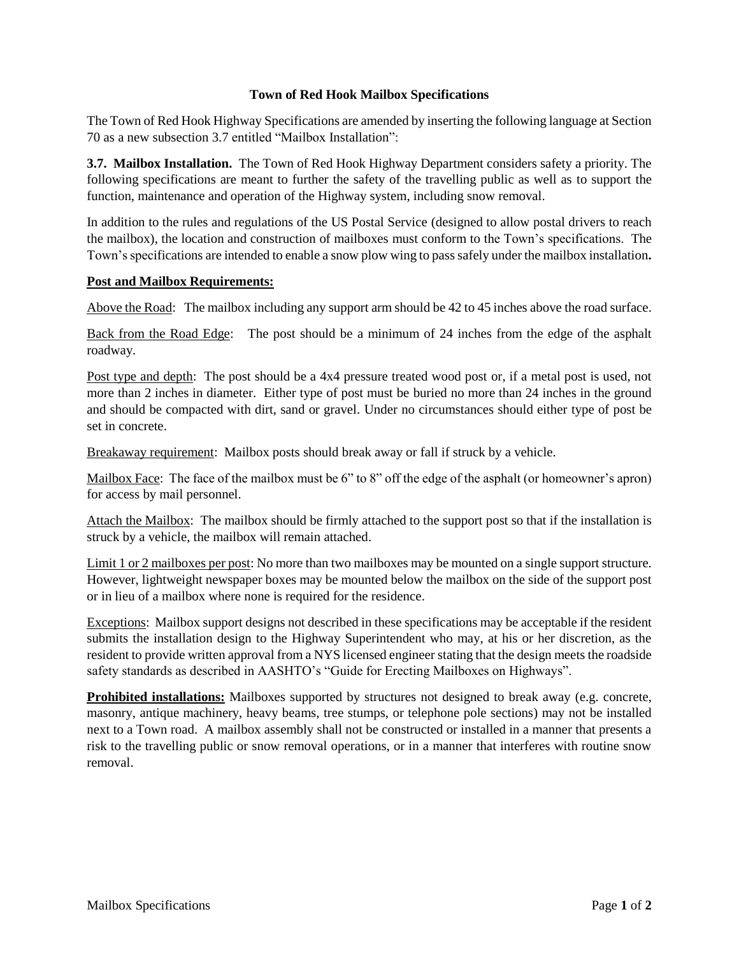## **Town of Red Hook Mailbox Specifications**

The Town of Red Hook Highway Specifications are amended by inserting the following language at Section 70 as a new subsection 3.7 entitled "Mailbox Installation":

**3.7. Mailbox Installation.** The Town of Red Hook Highway Department considers safety a priority. The following specifications are meant to further the safety of the travelling public as well as to support the function, maintenance and operation of the Highway system, including snow removal.

In addition to the rules and regulations of the US Postal Service (designed to allow postal drivers to reach the mailbox), the location and construction of mailboxes must conform to the Town's specifications. The Town's specifications are intended to enable a snow plow wing to pass safely under the mailbox installation**.** 

## **Post and Mailbox Requirements:**

Above the Road: The mailbox including any support arm should be 42 to 45 inches above the road surface.

Back from the Road Edge: The post should be a minimum of 24 inches from the edge of the asphalt roadway.

Post type and depth: The post should be a 4x4 pressure treated wood post or, if a metal post is used, not more than 2 inches in diameter. Either type of post must be buried no more than 24 inches in the ground and should be compacted with dirt, sand or gravel. Under no circumstances should either type of post be set in concrete.

Breakaway requirement: Mailbox posts should break away or fall if struck by a vehicle.

Mailbox Face: The face of the mailbox must be 6" to 8" off the edge of the asphalt (or homeowner's apron) for access by mail personnel.

Attach the Mailbox: The mailbox should be firmly attached to the support post so that if the installation is struck by a vehicle, the mailbox will remain attached.

Limit 1 or 2 mailboxes per post: No more than two mailboxes may be mounted on a single support structure. However, lightweight newspaper boxes may be mounted below the mailbox on the side of the support post or in lieu of a mailbox where none is required for the residence.

Exceptions: Mailbox support designs not described in these specifications may be acceptable if the resident submits the installation design to the Highway Superintendent who may, at his or her discretion, as the resident to provide written approval from a NYS licensed engineer stating that the design meets the roadside safety standards as described in AASHTO's "Guide for Erecting Mailboxes on Highways".

**Prohibited installations:** Mailboxes supported by structures not designed to break away (e.g. concrete, masonry, antique machinery, heavy beams, tree stumps, or telephone pole sections) may not be installed next to a Town road. A mailbox assembly shall not be constructed or installed in a manner that presents a risk to the travelling public or snow removal operations, or in a manner that interferes with routine snow removal.